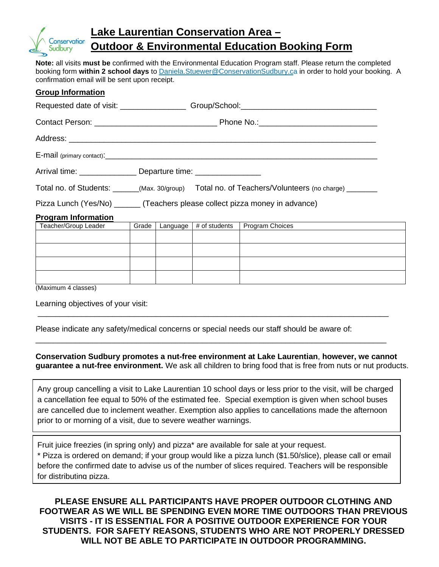

## **Lake Laurentian Conservation Area – Outdoor & Environmental Education Booking Form**

**Note:** all visits **must be** confirmed with the Environmental Education Program staff. Please return the completed booking form **within 2 school days** to Daniela.Stuewer@ConservationSudbury.ca in order to hold your booking. A confirmation email will be sent upon receipt.

| <b>Group Information</b>                                                      |                                                                                                   |  |                          |                 |
|-------------------------------------------------------------------------------|---------------------------------------------------------------------------------------------------|--|--------------------------|-----------------|
|                                                                               |                                                                                                   |  |                          |                 |
|                                                                               |                                                                                                   |  |                          |                 |
|                                                                               |                                                                                                   |  |                          |                 |
|                                                                               |                                                                                                   |  |                          |                 |
|                                                                               | Arrival time: ________________________ Departure time: _________________________                  |  |                          |                 |
|                                                                               | Total no. of Students: ______(Max. 30/group) Total no. of Teachers/Volunteers (no charge) _______ |  |                          |                 |
| Pizza Lunch (Yes/No) _______ (Teachers please collect pizza money in advance) |                                                                                                   |  |                          |                 |
| <b>Program Information</b>                                                    |                                                                                                   |  |                          |                 |
| Teacher/Group Leader                                                          | Grade I                                                                                           |  | Language $#$ of students | Program Choices |
|                                                                               |                                                                                                   |  |                          |                 |
|                                                                               |                                                                                                   |  |                          |                 |
|                                                                               |                                                                                                   |  |                          |                 |
| (Maximum 4 classes)                                                           |                                                                                                   |  |                          |                 |

Learning objectives of your visit:

Please indicate any safety/medical concerns or special needs our staff should be aware of:

**Conservation Sudbury promotes a nut-free environment at Lake Laurentian**, **however, we cannot guarantee a nut-free environment.** We ask all children to bring food that is free from nuts or nut products.

\_\_\_\_\_\_\_\_\_\_\_\_\_\_\_\_\_\_\_\_\_\_\_\_\_\_\_\_\_\_\_\_\_\_\_\_\_\_\_\_\_\_\_\_\_\_\_\_\_\_\_\_\_\_\_\_\_\_\_\_\_\_\_\_\_\_\_\_\_\_\_\_\_\_\_\_\_\_\_\_

\_\_\_\_\_\_\_\_\_\_\_\_\_\_\_\_\_\_\_\_\_\_\_\_\_\_\_\_\_\_\_\_\_\_\_\_\_\_\_\_\_\_\_\_\_\_\_\_\_\_\_\_\_\_\_\_\_\_\_\_\_\_\_\_\_\_\_\_\_\_\_\_\_\_\_\_\_\_\_\_

Any group cancelling a visit to Lake Laurentian 10 school days or less prior to the visit, will be charged a cancellation fee equal to 50% of the estimated fee. Special exemption is given when school buses are cancelled due to inclement weather. Exemption also applies to cancellations made the afternoon prior to or morning of a visit, due to severe weather warnings.

Fruit juice freezies (in spring only) and pizza\* are available for sale at your request.

\* Pizza is ordered on demand; if your group would like a pizza lunch (\$1.50/slice), please call or email before the confirmed date to advise us of the number of slices required. Teachers will be responsible for distributing pizza.

**PLEASE ENSURE ALL PARTICIPANTS HAVE PROPER OUTDOOR CLOTHING AND FOOTWEAR AS WE WILL BE SPENDING EVEN MORE TIME OUTDOORS THAN PREVIOUS VISITS - IT IS ESSENTIAL FOR A POSITIVE OUTDOOR EXPERIENCE FOR YOUR STUDENTS. FOR SAFETY REASONS, STUDENTS WHO ARE NOT PROPERLY DRESSED WILL NOT BE ABLE TO PARTICIPATE IN OUTDOOR PROGRAMMING.**